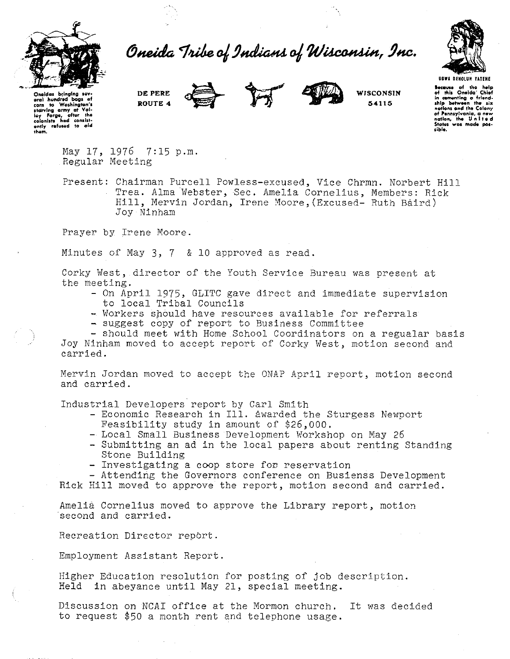

Oneida Tribe of Indians of Wisconsin, Inc.



Oneldas **bringing** sev eral hundred bags of<br>
corn to Washington's starving army at Val-<br>Ioy Forge, after the<br>colonists had consist-<br>ently refused to aid<br>them. **DE PERE ROUTE 4** 



**WISCONSIN 54115** 

**hecause** of the help of this Oneida' Chief in cementing a friend-<br> **ship between** the six notions and the Colony **of Pennsylvania, a new nation, the United States was made possib/e.** 

May  $17.1976$  7:15 p.m. Regular Meeting

Present: Chairman Purcell Powless-excused, Vice Chrmn. Norbert Hill Trea. Alma Webster, Sec. Amelia Cornelius, Members: Rick Hill, Mervin Jordan, Irene Moore, (Excused- Ruth Baird) Joy Ninham

Prayer by Irene Moore.

Minutes of May 3, 7 & 10 approved as read.

Corky West, director of the Youth Service Bureau was present at the meeting.

- On April 1975, GLITC gave direct and immediate supervision to local Tribal Councils
- Workers should have resources available for referrals
- suggest copy of report to Business Committee

- should meet with Home School Coordinators on a regualar basis Joy Ninham moved to accept report of Corky \1/est, motion second and carried.

Mervin Jordan moved to accept the ONAP April report, motion second and carried.

Industrial Developers report by Carl Smith

- Economic Research in Ill. awarded the Sturgess Newport Feasibility study in amount of \$26,000.
- Local Small Business Development Workshop on May 26
- Submitting an ad in the local papers about renting Standing Stone Building
- Investigating a coop store for reservation

- Attendirig the Governors conference on Busienss Development

Rick Hill moved to approve the report, motion second and carried.

Amelia Cornelius moved to approve the Library report, motion second and carried.

Recreation Director repbrt.

Employment Assistant Report.

Higher Education resolution for posting of job description. Held in abeyance until May 21, special meeting.

Discussion on NCAI office at the Mormon church. It was decided to request \$50 a month rent and telephone usage.